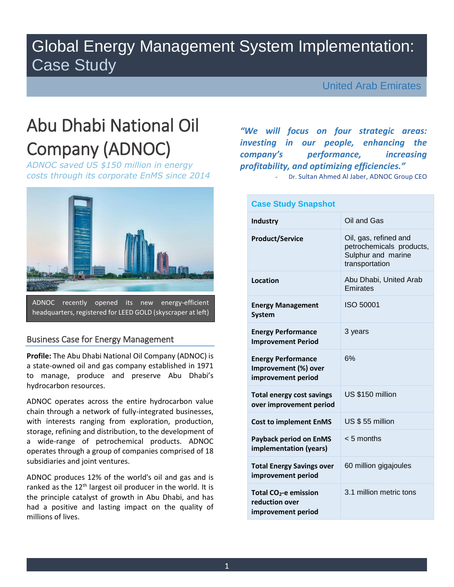## Global Energy Management System Implementation: Case Study

United Arab Emirates

# Abu Dhabi National Oil Company (ADNOC)

*ADNOC saved US \$150 million in energy costs through its corporate EnMS since 2014*



### Business Case for Energy Management

**Profile:** The Abu Dhabi National Oil Company (ADNOC) is a state-owned oil and gas company established in 1971 to manage, produce and preserve Abu Dhabi's hydrocarbon resources.

ADNOC operates across the entire hydrocarbon value chain through a network of fully-integrated businesses, with interests ranging from exploration, production, storage, refining and distribution, to the development of a wide-range of petrochemical products. ADNOC operates through a group of companies comprised of 18 subsidiaries and joint ventures.

ADNOC produces 12% of the world's oil and gas and is ranked as the  $12<sup>th</sup>$  largest oil producer in the world. It is the principle catalyst of growth in Abu Dhabi, and has had a positive and lasting impact on the quality of millions of lives.

*"We will focus on four strategic areas: investing in our people, enhancing the company's performance, increasing profitability, and optimizing efficiencies."*

Dr. Sultan Ahmed Al Jaber, ADNOC Group CEO

| <b>Case Study Snapshot</b>                                                |                                                                                           |
|---------------------------------------------------------------------------|-------------------------------------------------------------------------------------------|
| Industry                                                                  | Oil and Gas                                                                               |
| <b>Product/Service</b>                                                    | Oil, gas, refined and<br>petrochemicals products,<br>Sulphur and marine<br>transportation |
| <b>Location</b>                                                           | Abu Dhabi, United Arab<br>Emirates                                                        |
| <b>Energy Management</b><br><b>System</b>                                 | ISO 50001                                                                                 |
| <b>Energy Performance</b><br><b>Improvement Period</b>                    | 3 years                                                                                   |
| <b>Energy Performance</b><br>Improvement (%) over<br>improvement period   | 6%                                                                                        |
| <b>Total energy cost savings</b><br>over improvement period               | US \$150 million                                                                          |
| <b>Cost to implement EnMS</b>                                             | US \$55 million                                                                           |
| <b>Payback period on EnMS</b><br>implementation (years)                   | $< 5$ months                                                                              |
| <b>Total Energy Savings over</b><br>improvement period                    | 60 million gigajoules                                                                     |
| Total CO <sub>2</sub> -e emission<br>reduction over<br>improvement period | 3.1 million metric tons                                                                   |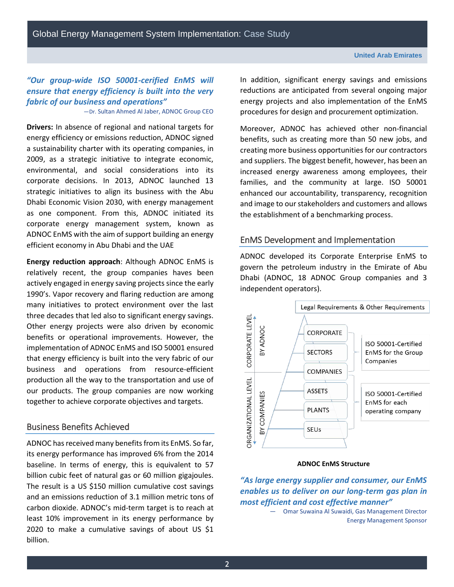Global Energy Management System Implementation: Case Study

## *"Our group-wide ISO 50001-cerified EnMS will ensure that energy efficiency is built into the very fabric of our business and operations"*

—Dr. Sultan Ahmed Al Jaber, ADNOC Group CEO

**Drivers:** In absence of regional and national targets for energy efficiency or emissions reduction, ADNOC signed a sustainability charter with its operating companies, in 2009, as a strategic initiative to integrate economic, environmental, and social considerations into its corporate decisions. In 2013, ADNOC launched 13 strategic initiatives to align its business with the Abu Dhabi Economic Vision 2030, with energy management as one component. From this, ADNOC initiated its corporate energy management system, known as ADNOC EnMS with the aim of support building an energy efficient economy in Abu Dhabi and the UAE

**Energy reduction approach**: Although ADNOC EnMS is relatively recent, the group companies haves been actively engaged in energy saving projects since the early 1990's. Vapor recovery and flaring reduction are among many initiatives to protect environment over the last three decades that led also to significant energy savings. Other energy projects were also driven by economic benefits or operational improvements. However, the implementation of ADNOC EnMS and ISO 50001 ensured that energy efficiency is built into the very fabric of our business and operations from resource-efficient production all the way to the transportation and use of our products. The group companies are now working together to achieve corporate objectives and targets.

#### Business Benefits Achieved

ADNOC has received many benefits from its EnMS. So far, its energy performance has improved 6% from the 2014 baseline. In terms of energy, this is equivalent to 57 billion cubic feet of natural gas or 60 million gigajoules. The result is a US \$150 million cumulative cost savings and an emissions reduction of 3.1 million metric tons of carbon dioxide. ADNOC's mid-term target is to reach at least 10% improvement in its energy performance by 2020 to make a cumulative savings of about US \$1 billion.

In addition, significant energy savings and emissions reductions are anticipated from several ongoing major energy projects and also implementation of the EnMS procedures for design and procurement optimization.

Moreover, ADNOC has achieved other non-financial benefits, such as creating more than 50 new jobs, and creating more business opportunities for our contractors and suppliers. The biggest benefit, however, has been an increased energy awareness among employees, their families, and the community at large. ISO 50001 enhanced our accountability, transparency, recognition and image to our stakeholders and customers and allows the establishment of a benchmarking process.

#### EnMS Development and Implementation

ADNOC developed its Corporate Enterprise EnMS to govern the petroleum industry in the Emirate of Abu Dhabi (ADNOC, 18 ADNOC Group companies and 3 independent operators).



#### **ADNOC EnMS Structure**

*"As large energy supplier and consumer, our EnMS enables us to deliver on our long-term gas plan in most efficient and cost effective manner"*

— Omar Suwaina Al Suwaidi, Gas Management Director Energy Management Sponsor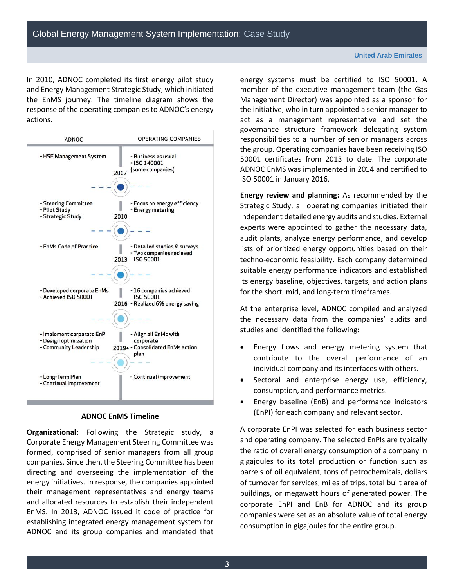In 2010, ADNOC completed its first energy pilot study and Energy Management Strategic Study, which initiated the EnMS journey. The timeline diagram shows the response of the operating companies to ADNOC's energy actions.



#### **ADNOC EnMS Timeline**

**Organizational:** Following the Strategic study, a Corporate Energy Management Steering Committee was formed, comprised of senior managers from all group companies. Since then, the Steering Committee has been directing and overseeing the implementation of the energy initiatives. In response, the companies appointed their management representatives and energy teams and allocated resources to establish their independent EnMS. In 2013, ADNOC issued it code of practice for establishing integrated energy management system for ADNOC and its group companies and mandated that energy systems must be certified to ISO 50001. A member of the executive management team (the Gas Management Director) was appointed as a sponsor for the initiative, who in turn appointed a senior manager to act as a management representative and set the governance structure framework delegating system responsibilities to a number of senior managers across the group. Operating companies have been receiving ISO 50001 certificates from 2013 to date. The corporate ADNOC EnMS was implemented in 2014 and certified to ISO 50001 in January 2016.

**Energy review and planning:** As recommended by the Strategic Study, all operating companies initiated their independent detailed energy audits and studies. External experts were appointed to gather the necessary data, audit plants, analyze energy performance, and develop lists of prioritized energy opportunities based on their techno-economic feasibility. Each company determined suitable energy performance indicators and established its energy baseline, objectives, targets, and action plans for the short, mid, and long-term timeframes.

At the enterprise level, ADNOC compiled and analyzed the necessary data from the companies' audits and studies and identified the following:

- Energy flows and energy metering system that contribute to the overall performance of an individual company and its interfaces with others.
- Sectoral and enterprise energy use, efficiency, consumption, and performance metrics.
- Energy baseline (EnB) and performance indicators (EnPI) for each company and relevant sector.

A corporate EnPI was selected for each business sector and operating company. The selected EnPIs are typically the ratio of overall energy consumption of a company in gigajoules to its total production or function such as barrels of oil equivalent, tons of petrochemicals, dollars of turnover for services, miles of trips, total built area of buildings, or megawatt hours of generated power. The corporate EnPI and EnB for ADNOC and its group companies were set as an absolute value of total energy consumption in gigajoules for the entire group.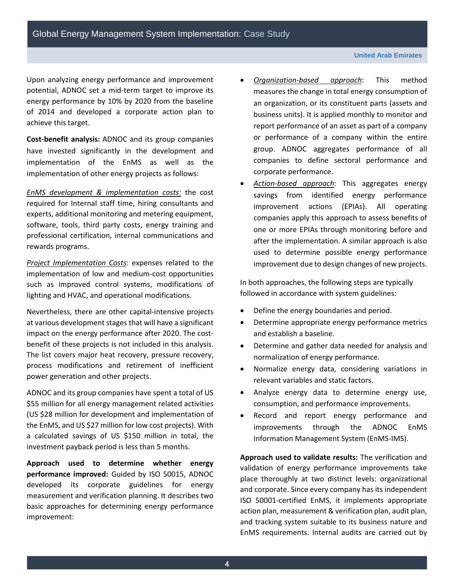Upon analyzing energy performance and improvement potential, ADNOC set a mid-term target to improve its energy performance by 10% by 2020 from the baseline of 2014 and developed a corporate action plan to achieve this target.

**Cost-benefit analysis:** ADNOC and its group companies have invested significantly in the development and implementation of the EnMS as well as the implementation of other energy projects as follows:

*EnMS development & implementation costs:* the cost required for Internal staff time, hiring consultants and experts, additional monitoring and metering equipment, software, tools, third party costs, energy training and professional certification, internal communications and rewards programs.

*Project Implementation Costs*: expenses related to the implementation of low and medium-cost opportunities such as improved control systems, modifications of lighting and HVAC, and operational modifications.

Nevertheless, there are other capital-intensive projects at various development stages that will have a significant impact on the energy performance after 2020. The costbenefit of these projects is not included in this analysis. The list covers major heat recovery, pressure recovery, process modifications and retirement of inefficient power generation and other projects.

ADNOC and its group companies have spent a total of US \$55 million for all energy management related activities (US \$28 million for development and implementation of the EnMS, and US \$27 million for low cost projects). With a calculated savings of US \$150 million in total, the investment payback period is less than 5 months.

**Approach used to determine whether energy performance improved:** Guided by ISO 50015, ADNOC developed its corporate guidelines for energy measurement and verification planning. It describes two basic approaches for determining energy performance improvement:

- *Organization-based approach*: This method measures the change in total energy consumption of an organization, or its constituent parts (assets and business units). It is applied monthly to monitor and report performance of an asset as part of a company or performance of a company within the entire group. ADNOC aggregates performance of all companies to define sectoral performance and corporate performance.
- *Action-based approach*: This aggregates energy savings from identified energy performance improvement actions (EPIAs). All operating companies apply this approach to assess benefits of one or more EPIAs through monitoring before and after the implementation. A similar approach is also used to determine possible energy performance improvement due to design changes of new projects.

In both approaches, the following steps are typically followed in accordance with system guidelines:

- Define the energy boundaries and period.
- Determine appropriate energy performance metrics and establish a baseline.
- Determine and gather data needed for analysis and normalization of energy performance.
- Normalize energy data, considering variations in relevant variables and static factors.
- Analyze energy data to determine energy use, consumption, and performance improvements.
- Record and report energy performance and improvements through the ADNOC EnMS Information Management System (EnMS-IMS).

**Approach used to validate results:** The verification and validation of energy performance improvements take place thoroughly at two distinct levels: organizational and corporate. Since every company has its independent ISO 50001-certified EnMS, it implements appropriate action plan, measurement & verification plan, audit plan, and tracking system suitable to its business nature and EnMS requirements. Internal audits are carried out by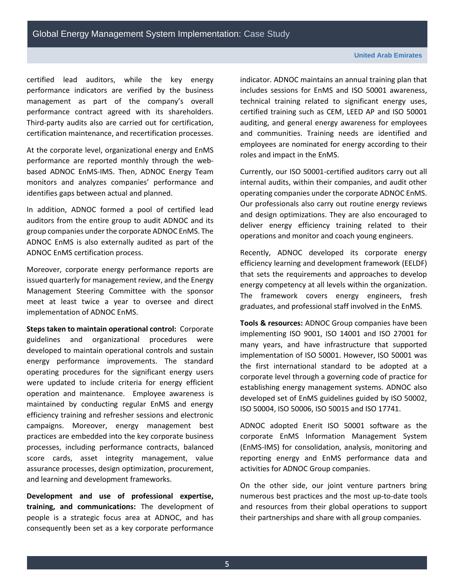certified lead auditors, while the key energy performance indicators are verified by the business management as part of the company's overall performance contract agreed with its shareholders. Third-party audits also are carried out for certification, certification maintenance, and recertification processes.

At the corporate level, organizational energy and EnMS performance are reported monthly through the webbased ADNOC EnMS-IMS. Then, ADNOC Energy Team monitors and analyzes companies' performance and identifies gaps between actual and planned.

In addition, ADNOC formed a pool of certified lead auditors from the entire group to audit ADNOC and its group companies under the corporate ADNOC EnMS. The ADNOC EnMS is also externally audited as part of the ADNOC EnMS certification process.

Moreover, corporate energy performance reports are issued quarterly for management review, and the Energy Management Steering Committee with the sponsor meet at least twice a year to oversee and direct implementation of ADNOC EnMS.

**Steps taken to maintain operational control:** Corporate guidelines and organizational procedures were developed to maintain operational controls and sustain energy performance improvements. The standard operating procedures for the significant energy users were updated to include criteria for energy efficient operation and maintenance. Employee awareness is maintained by conducting regular EnMS and energy efficiency training and refresher sessions and electronic campaigns. Moreover, energy management best practices are embedded into the key corporate business processes, including performance contracts, balanced score cards, asset integrity management, value assurance processes, design optimization, procurement, and learning and development frameworks.

**Development and use of professional expertise, training, and communications:** The development of people is a strategic focus area at ADNOC, and has consequently been set as a key corporate performance

indicator. ADNOC maintains an annual training plan that includes sessions for EnMS and ISO 50001 awareness, technical training related to significant energy uses, certified training such as CEM, LEED AP and ISO 50001 auditing, and general energy awareness for employees and communities. Training needs are identified and employees are nominated for energy according to their roles and impact in the EnMS.

Currently, our ISO 50001-certified auditors carry out all internal audits, within their companies, and audit other operating companies under the corporate ADNOC EnMS. Our professionals also carry out routine energy reviews and design optimizations. They are also encouraged to deliver energy efficiency training related to their operations and monitor and coach young engineers.

Recently, ADNOC developed its corporate energy efficiency learning and development framework (EELDF) that sets the requirements and approaches to develop energy competency at all levels within the organization. The framework covers energy engineers, fresh graduates, and professional staff involved in the EnMS.

**Tools & resources:** ADNOC Group companies have been implementing ISO 9001, ISO 14001 and ISO 27001 for many years, and have infrastructure that supported implementation of ISO 50001. However, ISO 50001 was the first international standard to be adopted at a corporate level through a governing code of practice for establishing energy management systems. ADNOC also developed set of EnMS guidelines guided by ISO 50002, ISO 50004, ISO 50006, ISO 50015 and ISO 17741.

ADNOC adopted Enerit ISO 50001 software as the corporate EnMS Information Management System (EnMS-IMS) for consolidation, analysis, monitoring and reporting energy and EnMS performance data and activities for ADNOC Group companies.

On the other side, our joint venture partners bring numerous best practices and the most up-to-date tools and resources from their global operations to support their partnerships and share with all group companies.